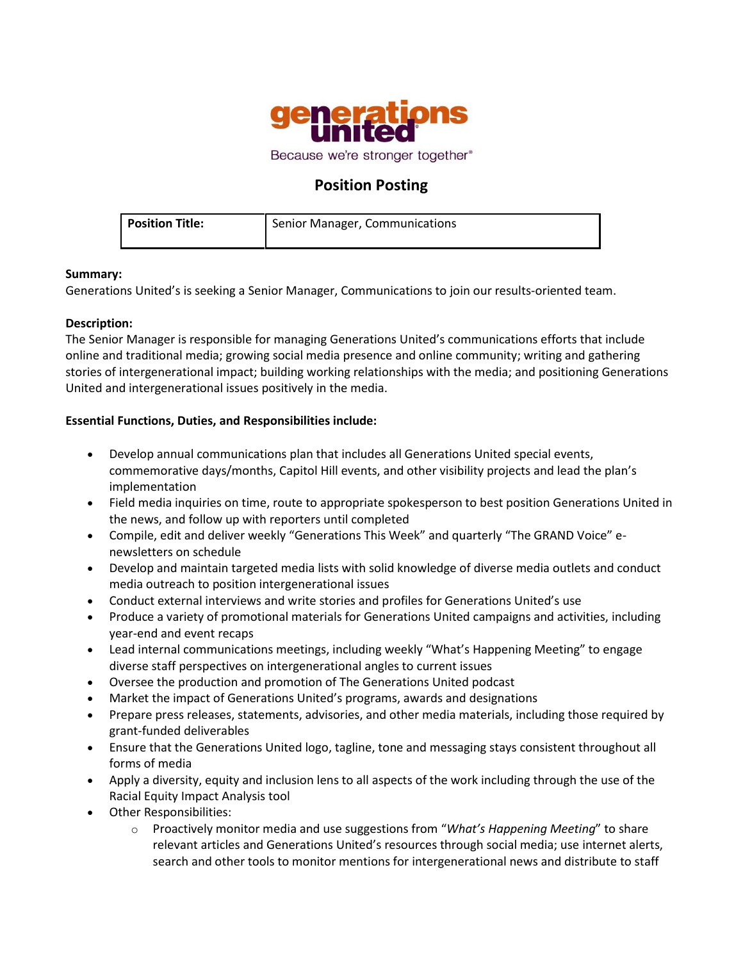

Because we're stronger together®

# **Position Posting**

| <b>Position Title:</b> | Senior Manager, Communications |
|------------------------|--------------------------------|
|                        |                                |

### **Summary:**

Generations United's is seeking a Senior Manager, Communications to join our results-oriented team.

### **Description:**

The Senior Manager is responsible for managing Generations United's communications efforts that include online and traditional media; growing social media presence and online community; writing and gathering stories of intergenerational impact; building working relationships with the media; and positioning Generations United and intergenerational issues positively in the media.

# **Essential Functions, Duties, and Responsibilities include:**

- Develop annual communications plan that includes all Generations United special events, commemorative days/months, Capitol Hill events, and other visibility projects and lead the plan's implementation
- Field media inquiries on time, route to appropriate spokesperson to best position Generations United in the news, and follow up with reporters until completed
- Compile, edit and deliver weekly "Generations This Week" and quarterly "The GRAND Voice" enewsletters on schedule
- Develop and maintain targeted media lists with solid knowledge of diverse media outlets and conduct media outreach to position intergenerational issues
- Conduct external interviews and write stories and profiles for Generations United's use
- Produce a variety of promotional materials for Generations United campaigns and activities, including year-end and event recaps
- Lead internal communications meetings, including weekly "What's Happening Meeting" to engage diverse staff perspectives on intergenerational angles to current issues
- Oversee the production and promotion of The Generations United podcast
- Market the impact of Generations United's programs, awards and designations
- Prepare press releases, statements, advisories, and other media materials, including those required by grant-funded deliverables
- Ensure that the Generations United logo, tagline, tone and messaging stays consistent throughout all forms of media
- Apply a diversity, equity and inclusion lens to all aspects of the work including through the use of the Racial Equity Impact Analysis tool
- Other Responsibilities:
	- o Proactively monitor media and use suggestions from "*What's Happening Meeting*" to share relevant articles and Generations United's resources through social media; use internet alerts, search and other tools to monitor mentions for intergenerational news and distribute to staff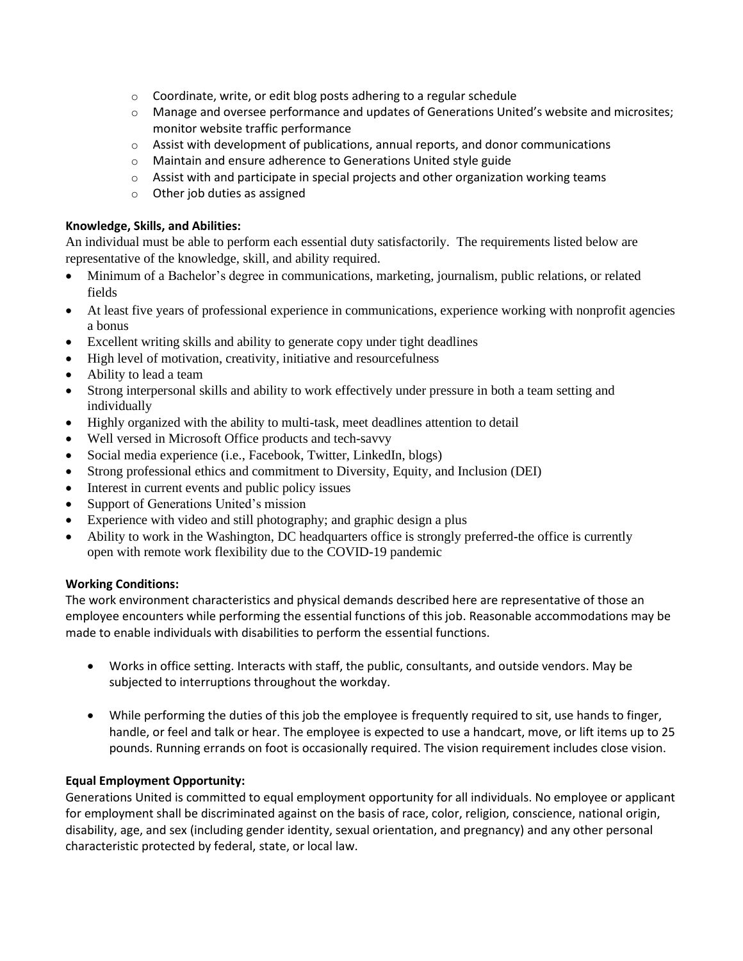- $\circ$  Coordinate, write, or edit blog posts adhering to a regular schedule
- $\circ$  Manage and oversee performance and updates of Generations United's website and microsites; monitor website traffic performance
- $\circ$  Assist with development of publications, annual reports, and donor communications
- o Maintain and ensure adherence to Generations United style guide
- $\circ$  Assist with and participate in special projects and other organization working teams
- o Other job duties as assigned

# **Knowledge, Skills, and Abilities:**

An individual must be able to perform each essential duty satisfactorily. The requirements listed below are representative of the knowledge, skill, and ability required.

- Minimum of a Bachelor's degree in communications, marketing, journalism, public relations, or related fields
- At least five years of professional experience in communications, experience working with nonprofit agencies a bonus
- Excellent writing skills and ability to generate copy under tight deadlines
- High level of motivation, creativity, initiative and resourcefulness
- Ability to lead a team
- Strong interpersonal skills and ability to work effectively under pressure in both a team setting and individually
- Highly organized with the ability to multi-task, meet deadlines attention to detail
- Well versed in Microsoft Office products and tech-savvy
- Social media experience (i.e., Facebook, Twitter, LinkedIn, blogs)
- Strong professional ethics and commitment to Diversity, Equity, and Inclusion (DEI)
- Interest in current events and public policy issues
- Support of Generations United's mission
- Experience with video and still photography; and graphic design a plus
- Ability to work in the Washington, DC headquarters office is strongly preferred-the office is currently open with remote work flexibility due to the COVID-19 pandemic

# **Working Conditions:**

The work environment characteristics and physical demands described here are representative of those an employee encounters while performing the essential functions of this job. Reasonable accommodations may be made to enable individuals with disabilities to perform the essential functions.

- Works in office setting. Interacts with staff, the public, consultants, and outside vendors. May be subjected to interruptions throughout the workday.
- While performing the duties of this job the employee is frequently required to sit, use hands to finger, handle, or feel and talk or hear. The employee is expected to use a handcart, move, or lift items up to 25 pounds. Running errands on foot is occasionally required. The vision requirement includes close vision.

# **Equal Employment Opportunity:**

Generations United is committed to equal employment opportunity for all individuals. No employee or applicant for employment shall be discriminated against on the basis of race, color, religion, conscience, national origin, disability, age, and sex (including gender identity, sexual orientation, and pregnancy) and any other personal characteristic protected by federal, state, or local law.